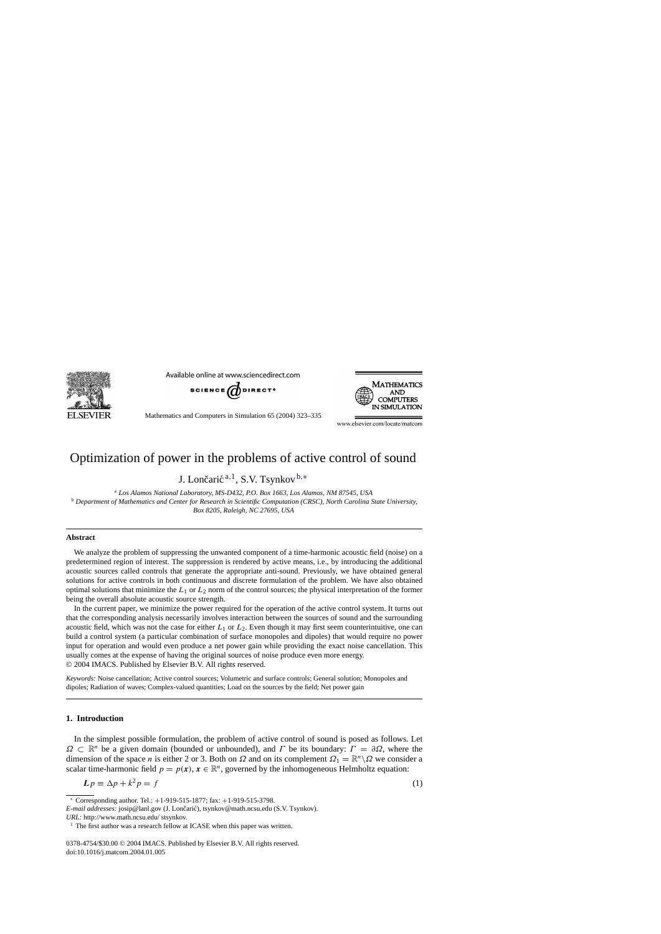<span id="page-0-0"></span>

Available online at www.sciencedirect.com





Mathematics and Computers in Simulation 65 (2004) 323–335

www.elsevier.com/locate/matcom

# Optimization of power in the problems of active control of sound

J. Lončarić  $a,1$ , S.V. Tsynkov  $b,*$ 

<sup>a</sup> *Los Alamos National Laboratory, MS-D432, P.O. Box 1663, Los Alamos, NM 87545, USA* <sup>b</sup> *Department of Mathematics and Center for Research in Scientific Computation (CRSC), North Carolina State University, Box 8205, Raleigh, NC 27695, USA*

#### **Abstract**

We analyze the problem of suppressing the unwanted component of a time-harmonic acoustic field (noise) on a predetermined region of interest. The suppression is rendered by active means, i.e., by introducing the additional acoustic sources called controls that generate the appropriate anti-sound. Previously, we have obtained general solutions for active controls in both continuous and discrete formulation of the problem. We have also obtained optimal solutions that minimize the  $L_1$  or  $L_2$  norm of the control sources; the physical interpretation of the former being the overall absolute acoustic source strength.

In the current paper, we minimize the power required for the operation of the active control system. It turns out that the corresponding analysis necessarily involves interaction between the sources of sound and the surrounding acoustic field, which was not the case for either  $L_1$  or  $L_2$ . Even though it may first seem counterintuitive, one can build a control system (a particular combination of surface monopoles and dipoles) that would require no power input for operation and would even produce a net power gain while providing the exact noise cancellation. This usually comes at the expense of having the original sources of noise produce even more energy. © 2004 IMACS. Published by Elsevier B.V. All rights reserved.

*Keywords:* Noise cancellation; Active control sources; Volumetric and surface controls; General solution; Monopoles and dipoles; Radiation of waves; Complex-valued quantities; Load on the sources by the field; Net power gain

## **1. Introduction**

In the simplest possible formulation, the problem of active control of sound is posed as follows. Let  $\Omega \subset \mathbb{R}^n$  be a given domain (bounded or unbounded), and  $\Gamma$  be its boundary:  $\Gamma = \partial \Omega$ , where the dimension of the space n is either 2 or 3. Both on  $\Omega$  and on its complement  $\Omega_1 = \mathbb{R}^n \setminus \Omega$  we consider a scalar time-harmonic field  $p = p(x), x \in \mathbb{R}^n$ , governed by the inhomogeneous Helmholtz equation:

$$
L p \equiv \Delta p + k^2 p = f \tag{1}
$$

0378-4754/\$30.00 © 2004 IMACS. Published by Elsevier B.V. All rights reserved. doi:10.1016/j.matcom.2004.01.005

<sup>∗</sup> Corresponding author. Tel.: +1-919-515-1877; fax: +1-919-515-3798.

*E-mail addresses:* josip@lanl.gov (J. Lončarić), tsynkov@math.ncsu.edu (S.V. Tsynkov).

*URL:* http://www.math.ncsu.edu/ stsynkov.

The first author was a research fellow at ICASE when this paper was written.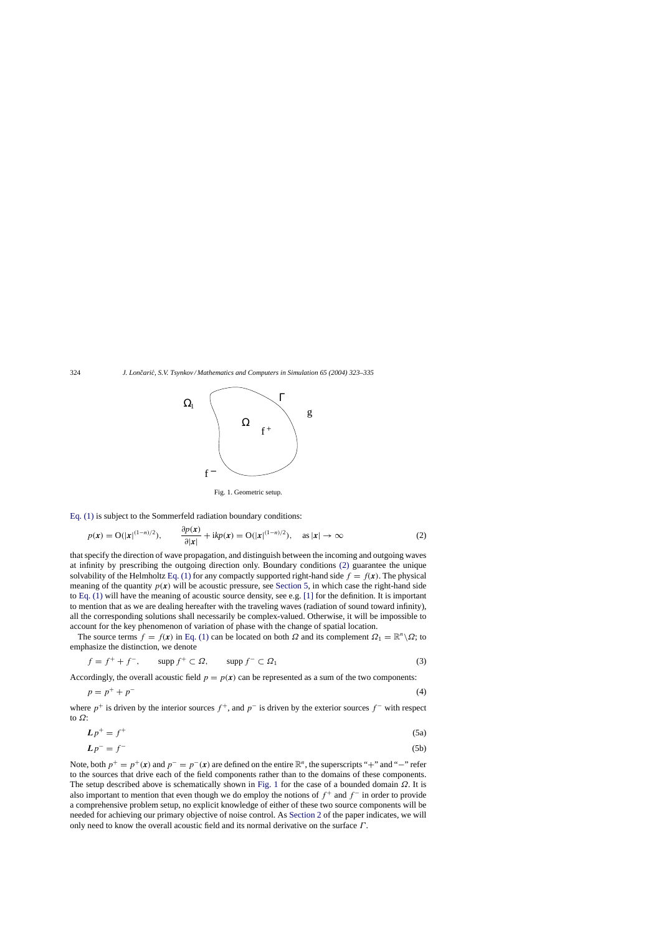<span id="page-1-0"></span>

Fig. 1. Geometric setup.

[Eq. \(1\)](#page-0-0) is subject to the Sommerfeld radiation boundary conditions:

$$
p(\mathbf{x}) = \mathcal{O}(|\mathbf{x}|^{(1-n)/2}), \qquad \frac{\partial p(\mathbf{x})}{\partial |\mathbf{x}|} + i k p(\mathbf{x}) = \mathcal{O}(|\mathbf{x}|^{(1-n)/2}), \quad \text{as } |\mathbf{x}| \to \infty \tag{2}
$$

that specify the direction of wave propagation, and distinguish between the incoming and outgoing waves at infinity by prescribing the outgoing direction only. Boundary conditions (2) guarantee the unique solvability of the Helmholtz [Eq. \(1\)](#page-0-0) for any compactly supported right-hand side  $f = f(x)$ . The physical meaning of the quantity  $p(x)$  will be acoustic pressure, see [Section 5,](#page-7-0) in which case the right-hand side to [Eq. \(1\)](#page-0-0) will have the meaning of acoustic source density, see e.g. [\[1\]](#page-12-0) for the definition. It is important to mention that as we are dealing hereafter with the traveling waves (radiation of sound toward infinity), all the corresponding solutions shall necessarily be complex-valued. Otherwise, it will be impossible to account for the key phenomenon of variation of phase with the change of spatial location.

The source terms  $f = f(x)$  in [Eq. \(1\)](#page-0-0) can be located on both  $\Omega$  and its complement  $\Omega_1 = \mathbb{R}^n \backslash \Omega$ ; to emphasize the distinction, we denote

$$
f = f^+ + f^-, \qquad \text{supp } f^+ \subset \Omega, \qquad \text{supp } f^- \subset \Omega_1 \tag{3}
$$

Accordingly, the overall acoustic field  $p = p(x)$  can be represented as a sum of the two components:

$$
p = p^+ + p^- \tag{4}
$$

where  $p^+$  is driven by the interior sources  $f^+$ , and  $p^-$  is driven by the exterior sources  $f^-$  with respect to  $\Omega$ :

$$
Lp^{+} = f^{+} \tag{5a}
$$

$$
Lp^- = f^- \tag{5b}
$$

Note, both  $p^+ = p^+(x)$  and  $p^- = p^-(x)$  are defined on the entire  $\mathbb{R}^n$ , the superscripts "+" and "−" refer to the sources that drive each of the field components rather than to the domains of these components. The setup described above is schematically shown in Fig. 1 for the case of a bounded domain  $\Omega$ . It is also important to mention that even though we do employ the notions of  $f^+$  and  $f^-$  in order to provide a comprehensive problem setup, no explicit knowledge of either of these two source components will be needed for achieving our primary objective of noise control. As [Section 2](#page-3-0) of the paper indicates, we will only need to know the overall acoustic field and its normal derivative on the surface  $\Gamma$ .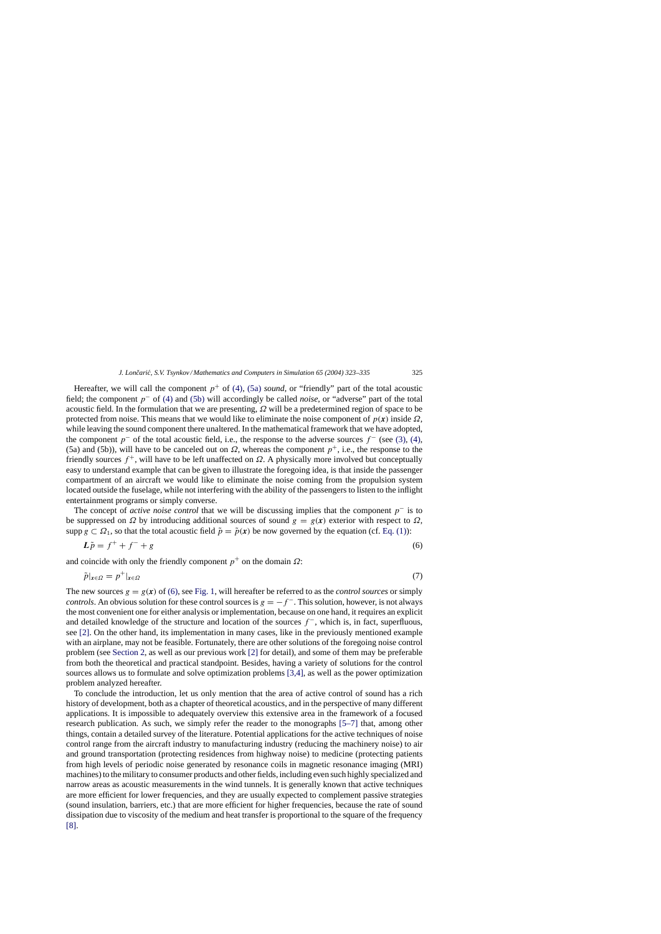<span id="page-2-0"></span>Hereafter, we will call the component  $p^+$  of [\(4\),](#page-1-0) [\(5a\)](#page-1-0) *sound*, or "friendly" part of the total acoustic field; the component p<sup>−</sup> of [\(4\)](#page-1-0) and [\(5b\)](#page-1-0) will accordingly be called *noise*, or "adverse" part of the total acoustic field. In the formulation that we are presenting,  $\Omega$  will be a predetermined region of space to be protected from noise. This means that we would like to eliminate the noise component of  $p(x)$  inside  $\Omega$ , while leaving the sound component there unaltered. In the mathematical framework that we have adopted, the component  $p^-$  of the total acoustic field, i.e., the response to the adverse sources  $f^-$  (see [\(3\),](#page-1-0) [\(4\),](#page-1-0) (5a) and (5b)), will have to be canceled out on  $\Omega$ , whereas the component  $p^+$ , i.e., the response to the friendly sources  $f^+$ , will have to be left unaffected on  $\Omega$ . A physically more involved but conceptually easy to understand example that can be given to illustrate the foregoing idea, is that inside the passenger compartment of an aircraft we would like to eliminate the noise coming from the propulsion system located outside the fuselage, while not interfering with the ability of the passengers to listen to the inflight entertainment programs or simply converse.

The concept of *active noise control* that we will be discussing implies that the component p<sup>−</sup> is to be suppressed on  $\Omega$  by introducing additional sources of sound  $g = g(x)$  exterior with respect to  $\Omega$ , supp  $g \text{ }\subset \Omega_1$ , so that the total acoustic field  $\tilde{p} = \tilde{p}(x)$  be now governed by the equation (cf. [Eq. \(1\)\):](#page-0-0)

$$
L\tilde{p} = f^+ + f^- + g \tag{6}
$$

and coincide with only the friendly component  $p^+$  on the domain  $\Omega$ :

$$
\tilde{p}|_{x \in \Omega} = p^+|_{x \in \Omega} \tag{7}
$$

The new sources  $g = g(x)$  of (6), see [Fig. 1, w](#page-1-0)ill hereafter be referred to as the *control sources* or simply *controls*. An obvious solution for these control sources is  $g = -f^-$ . This solution, however, is not always the most convenient one for either analysis or implementation, because on one hand, it requires an explicit and detailed knowledge of the structure and location of the sources  $f^-$ , which is, in fact, superfluous, see [\[2\].](#page-12-0) On the other hand, its implementation in many cases, like in the previously mentioned example with an airplane, may not be feasible. Fortunately, there are other solutions of the foregoing noise control problem (see [Section 2, a](#page-3-0)s well as our previous work [\[2\]](#page-12-0) for detail), and some of them may be preferable from both the theoretical and practical standpoint. Besides, having a variety of solutions for the control sources allows us to formulate and solve optimization problems [\[3,4\],](#page-12-0) as well as the power optimization problem analyzed hereafter.

To conclude the introduction, let us only mention that the area of active control of sound has a rich history of development, both as a chapter of theoretical acoustics, and in the perspective of many different applications. It is impossible to adequately overview this extensive area in the framework of a focused research publication. As such, we simply refer the reader to the monographs [\[5–7\]](#page-12-0) that, among other things, contain a detailed survey of the literature. Potential applications for the active techniques of noise control range from the aircraft industry to manufacturing industry (reducing the machinery noise) to air and ground transportation (protecting residences from highway noise) to medicine (protecting patients from high levels of periodic noise generated by resonance coils in magnetic resonance imaging (MRI) machines) to the military to consumer products and other fields, including even such highly specialized and narrow areas as acoustic measurements in the wind tunnels. It is generally known that active techniques are more efficient for lower frequencies, and they are usually expected to complement passive strategies (sound insulation, barriers, etc.) that are more efficient for higher frequencies, because the rate of sound dissipation due to viscosity of the medium and heat transfer is proportional to the square of the frequency [\[8\].](#page-12-0)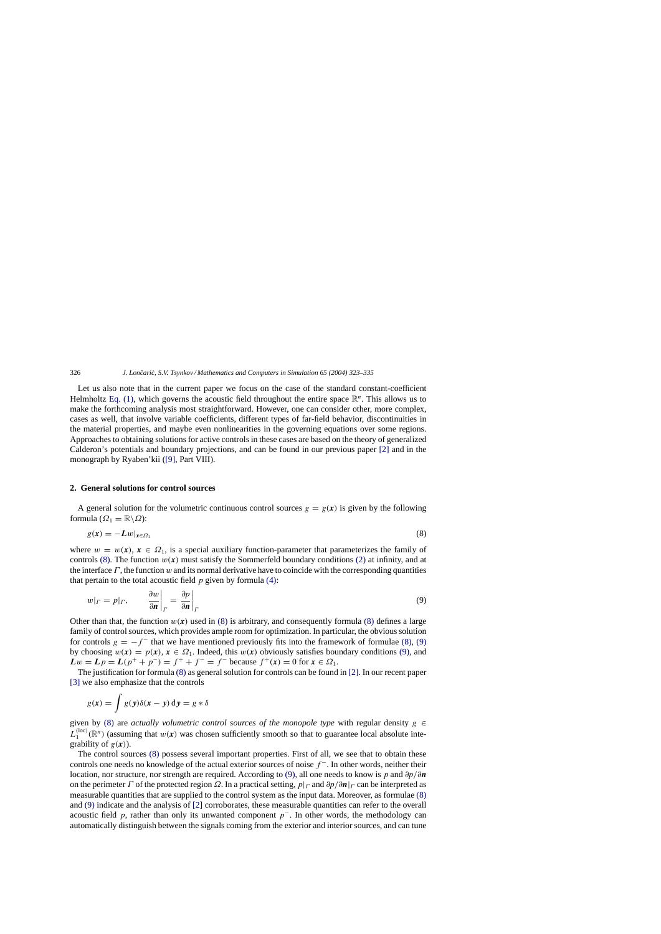Let us also note that in the current paper we focus on the case of the standard constant-coefficient Helmholtz [Eq. \(1\),](#page-0-0) which governs the acoustic field throughout the entire space  $\mathbb{R}^n$ . This allows us to make the forthcoming analysis most straightforward. However, one can consider other, more complex, cases as well, that involve variable coefficients, different types of far-field behavior, discontinuities in the material properties, and maybe even nonlinearities in the governing equations over some regions. Approaches to obtaining solutions for active controls in these cases are based on the theory of generalized Calderon's potentials and boundary projections, and can be found in our previous paper [\[2\]](#page-12-0) and in the monograph by Ryaben'kii ([\[9\],](#page-12-0) Part VIII).

## **2. General solutions for control sources**

A general solution for the volumetric continuous control sources  $g = g(x)$  is given by the following formula ( $\Omega_1 = \mathbb{R} \backslash \Omega$ ):

$$
g(x) = -Lw|_{x \in \Omega_1} \tag{8}
$$

where  $w = w(x)$ ,  $x \in \Omega_1$ , is a special auxiliary function-parameter that parameterizes the family of controls (8). The function  $w(x)$  must satisfy the Sommerfeld boundary conditions [\(2\)](#page-1-0) at infinity, and at the interface  $\Gamma$ , the function w and its normal derivative have to coincide with the corresponding quantities that pertain to the total acoustic field  $p$  given by formula [\(4\):](#page-1-0)

$$
w|_{\Gamma} = p|_{\Gamma}, \qquad \frac{\partial w}{\partial n}\bigg|_{\Gamma} = \frac{\partial p}{\partial n}\bigg|_{\Gamma} \tag{9}
$$

Other than that, the function  $w(x)$  used in (8) is arbitrary, and consequently formula (8) defines a large family of control sources, which provides ample room for optimization. In particular, the obvious solution for controls  $g = -f^-$  that we have mentioned previously fits into the framework of formulae (8), (9) by choosing  $w(x) = p(x)$ ,  $x \in \Omega_1$ . Indeed, this  $w(x)$  obviously satisfies boundary conditions (9), and  $Lw = Lp = L(p^+ + p^-) = f^+ + f^- = f^-$  because  $f^+(x) = 0$  for  $x \in \Omega_1$ .

The justification for formula (8) as general solution for controls can be found in [\[2\]. I](#page-12-0)n our recent paper [\[3\]](#page-12-0) we also emphasize that the controls

$$
g(x) = \int g(y)\delta(x - y) \, \mathrm{d}y = g * \delta
$$

given by (8) are *actually volumetric control sources of the monopole type* with regular density  $g \in$  $L_1^{(\text{loc})}(\mathbb{R}^n)$  (assuming that  $w(x)$  was chosen sufficiently smooth so that to guarantee local absolute integrability of  $g(x)$ ).

The control sources (8) possess several important properties. First of all, we see that to obtain these controls one needs no knowledge of the actual exterior sources of noise  $f^-$ . In other words, neither their location, nor structure, nor strength are required. According to (9), all one needs to know is p and ∂p/∂*n* on the perimeter  $\Gamma$  of the protected region  $\Omega$ . In a practical setting,  $p|_{\Gamma}$  and  $\partial p/\partial n|_{\Gamma}$  can be interpreted as measurable quantities that are supplied to the control system as the input data. Moreover, as formulae (8) and (9) indicate and the analysis of [\[2\]](#page-12-0) corroborates, these measurable quantities can refer to the overall acoustic field p, rather than only its unwanted component  $p^-$ . In other words, the methodology can automatically distinguish between the signals coming from the exterior and interior sources, and can tune

<span id="page-3-0"></span>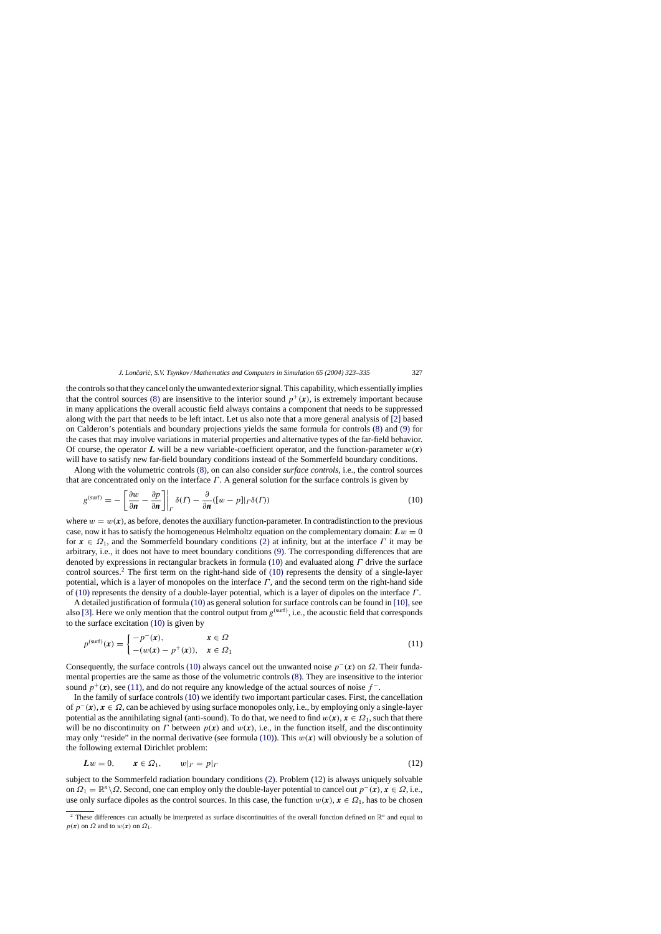<span id="page-4-0"></span>the controls so that they cancel only the unwanted exterior signal. This capability, which essentially implies that the control sources [\(8\)](#page-3-0) are insensitive to the interior sound  $p^+(\mathbf{x})$ , is extremely important because in many applications the overall acoustic field always contains a component that needs to be suppressed along with the part that needs to be left intact. Let us also note that a more general analysis of [\[2\]](#page-12-0) based on Calderon's potentials and boundary projections yields the same formula for controls [\(8\)](#page-3-0) and [\(9\)](#page-3-0) for the cases that may involve variations in material properties and alternative types of the far-field behavior. Of course, the operator *L* will be a new variable-coefficient operator, and the function-parameter  $w(x)$ will have to satisfy new far-field boundary conditions instead of the Sommerfeld boundary conditions.

Along with the volumetric controls [\(8\),](#page-3-0) on can also consider *surface controls*, i.e., the control sources that are concentrated only on the interface  $\Gamma$ . A general solution for the surface controls is given by

$$
g^{(\text{surf})} = -\left[\frac{\partial w}{\partial n} - \frac{\partial p}{\partial n}\right]_P \delta(\Gamma) - \frac{\partial}{\partial n}([w-p]|_{\Gamma}\delta(\Gamma))\tag{10}
$$

where  $w = w(x)$ , as before, denotes the auxiliary function-parameter. In contradistinction to the previous case, now it has to satisfy the homogeneous Helmholtz equation on the complementary domain:  $Lw = 0$ for  $x \in \Omega_1$ , and the Sommerfeld boundary conditions [\(2\)](#page-1-0) at infinity, but at the interface  $\Gamma$  it may be arbitrary, i.e., it does not have to meet boundary conditions [\(9\).](#page-3-0) The corresponding differences that are denoted by expressions in rectangular brackets in formula (10) and evaluated along  $\Gamma$  drive the surface control sources.<sup>2</sup> The first term on the right-hand side of  $(10)$  represents the density of a single-layer potential, which is a layer of monopoles on the interface  $\Gamma$ , and the second term on the right-hand side of (10) represents the density of a double-layer potential, which is a layer of dipoles on the interface Γ .

A detailed justification of formula (10) as general solution for surface controls can be found in [\[10\], s](#page-12-0)ee also [\[3\].](#page-12-0) Here we only mention that the control output from  $g^{(surf)}$ , i.e., the acoustic field that corresponds to the surface excitation (10) is given by

$$
p^{(\text{surf})}(\mathbf{x}) = \begin{cases} -p^{-}(\mathbf{x}), & \mathbf{x} \in \Omega \\ -(w(\mathbf{x}) - p^{+}(\mathbf{x})), & \mathbf{x} \in \Omega_1 \end{cases}
$$
(11)

Consequently, the surface controls (10) always cancel out the unwanted noise  $p^{-}(x)$  on  $\Omega$ . Their fundamental properties are the same as those of the volumetric controls [\(8\). T](#page-3-0)hey are insensitive to the interior sound  $p^+(\mathbf{x})$ , see (11), and do not require any knowledge of the actual sources of noise  $f^-$ .

In the family of surface controls (10) we identify two important particular cases. First, the cancellation of p−(*x*), *x* ∈ Ω, can be achieved by using surface monopoles only, i.e., by employing only a single-layer potential as the annihilating signal (anti-sound). To do that, we need to find  $w(x)$ ,  $x \in \Omega_1$ , such that there will be no discontinuity on  $\Gamma$  between  $p(x)$  and  $w(x)$ , i.e., in the function itself, and the discontinuity may only "reside" in the normal derivative (see formula (10)). This  $w(x)$  will obviously be a solution of the following external Dirichlet problem:

$$
Lw = 0, \qquad x \in \Omega_1, \qquad w|_{\Gamma} = p|_{\Gamma} \tag{12}
$$

subject to the Sommerfeld radiation boundary conditions [\(2\).](#page-1-0) Problem (12) is always uniquely solvable on  $\Omega_1 = \mathbb{R}^n \setminus \Omega$ . Second, one can employ only the double-layer potential to cancel out  $p^-(x), x \in \Omega$ , i.e., use only surface dipoles as the control sources. In this case, the function  $w(x)$ ,  $x \in \Omega_1$ , has to be chosen

<sup>&</sup>lt;sup>2</sup> These differences can actually be interpreted as surface discontinuities of the overall function defined on  $\mathbb{R}^n$  and equal to  $p(x)$  on  $\Omega$  and to  $w(x)$  on  $\Omega_1$ .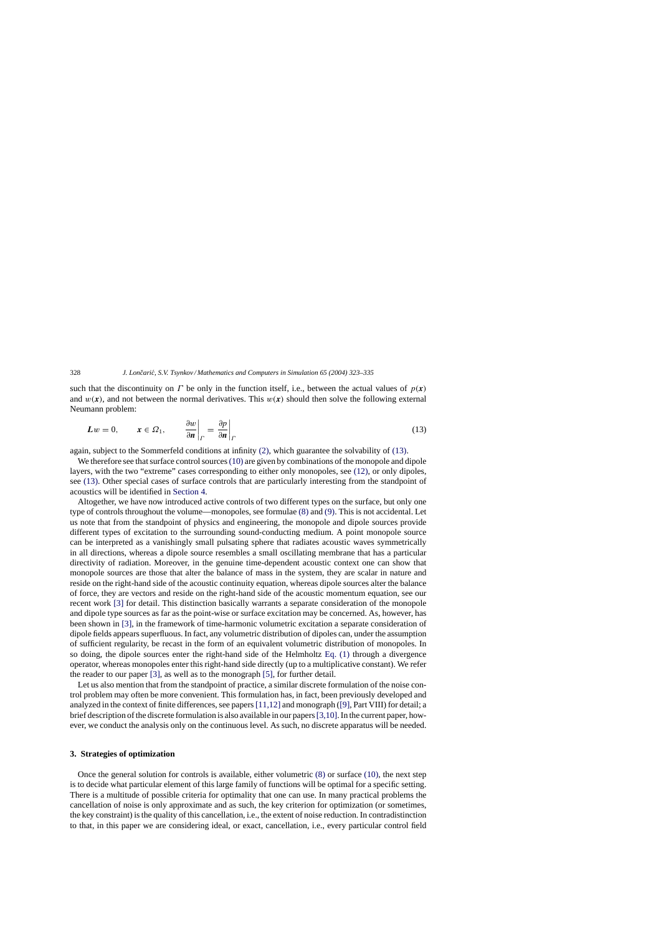such that the discontinuity on  $\Gamma$  be only in the function itself, i.e., between the actual values of  $p(x)$ and  $w(x)$ , and not between the normal derivatives. This  $w(x)$  should then solve the following external Neumann problem:

$$
Lw = 0, \qquad x \in \Omega_1, \qquad \left. \frac{\partial w}{\partial n} \right|_{\Gamma} = \left. \frac{\partial p}{\partial n} \right|_{\Gamma} \tag{13}
$$

again, subject to the Sommerfeld conditions at infinity [\(2\),](#page-1-0) which guarantee the solvability of (13).

We therefore see that surface control sources [\(10\)](#page-4-0) are given by combinations of the monopole and dipole layers, with the two "extreme" cases corresponding to either only monopoles, see [\(12\),](#page-4-0) or only dipoles, see (13). Other special cases of surface controls that are particularly interesting from the standpoint of acoustics will be identified in [Section 4.](#page-6-0)

Altogether, we have now introduced active controls of two different types on the surface, but only one type of controls throughout the volume—monopoles, see formulae [\(8\)](#page-3-0) and [\(9\). T](#page-3-0)his is not accidental. Let us note that from the standpoint of physics and engineering, the monopole and dipole sources provide different types of excitation to the surrounding sound-conducting medium. A point monopole source can be interpreted as a vanishingly small pulsating sphere that radiates acoustic waves symmetrically in all directions, whereas a dipole source resembles a small oscillating membrane that has a particular directivity of radiation. Moreover, in the genuine time-dependent acoustic context one can show that monopole sources are those that alter the balance of mass in the system, they are scalar in nature and reside on the right-hand side of the acoustic continuity equation, whereas dipole sources alter the balance of force, they are vectors and reside on the right-hand side of the acoustic momentum equation, see our recent work [\[3\]](#page-12-0) for detail. This distinction basically warrants a separate consideration of the monopole and dipole type sources as far as the point-wise or surface excitation may be concerned. As, however, has been shown in [\[3\],](#page-12-0) in the framework of time-harmonic volumetric excitation a separate consideration of dipole fields appears superfluous. In fact, any volumetric distribution of dipoles can, under the assumption of sufficient regularity, be recast in the form of an equivalent volumetric distribution of monopoles. In so doing, the dipole sources enter the right-hand side of the Helmholtz [Eq. \(1\)](#page-0-0) through a divergence operator, whereas monopoles enter this right-hand side directly (up to a multiplicative constant). We refer the reader to our paper [\[3\],](#page-12-0) as well as to the monograph [\[5\],](#page-12-0) for further detail.

Let us also mention that from the standpoint of practice, a similar discrete formulation of the noise control problem may often be more convenient. This formulation has, in fact, been previously developed and analyzed in the context of finite differences, see papers[\[11,12\]](#page-12-0) and monograph ([\[9\], P](#page-12-0)art VIII) for detail; a brief description of the discrete formulation is also available in our papers[\[3,10\]. I](#page-12-0)n the current paper, however, we conduct the analysis only on the continuous level. As such, no discrete apparatus will be needed.

# **3. Strategies of optimization**

Once the general solution for controls is available, either volumetric [\(8\)](#page-3-0) or surface [\(10\),](#page-4-0) the next step is to decide what particular element of this large family of functions will be optimal for a specific setting. There is a multitude of possible criteria for optimality that one can use. In many practical problems the cancellation of noise is only approximate and as such, the key criterion for optimization (or sometimes, the key constraint) is the quality of this cancellation, i.e., the extent of noise reduction. In contradistinction to that, in this paper we are considering ideal, or exact, cancellation, i.e., every particular control field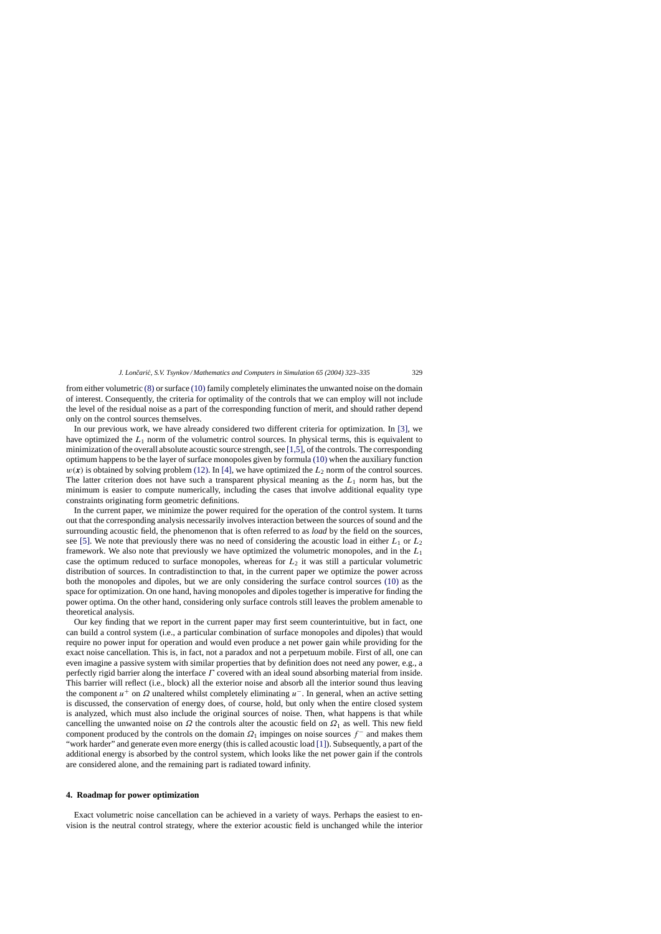<span id="page-6-0"></span>from either volumetric [\(8\)](#page-3-0) or surface [\(10\)](#page-4-0) family completely eliminates the unwanted noise on the domain of interest. Consequently, the criteria for optimality of the controls that we can employ will not include the level of the residual noise as a part of the corresponding function of merit, and should rather depend only on the control sources themselves.

In our previous work, we have already considered two different criteria for optimization. In [\[3\],](#page-12-0) we have optimized the  $L_1$  norm of the volumetric control sources. In physical terms, this is equivalent to minimization of the overall absolute acoustic source strength, see [\[1,5\], o](#page-12-0)f the controls. The corresponding optimum happens to be the layer of surface monopoles given by formula [\(10\)](#page-4-0) when the auxiliary function  $w(x)$  is obtained by solving problem [\(12\).](#page-4-0) In [\[4\],](#page-12-0) we have optimized the  $L_2$  norm of the control sources. The latter criterion does not have such a transparent physical meaning as the  $L_1$  norm has, but the minimum is easier to compute numerically, including the cases that involve additional equality type constraints originating form geometric definitions.

In the current paper, we minimize the power required for the operation of the control system. It turns out that the corresponding analysis necessarily involves interaction between the sources of sound and the surrounding acoustic field, the phenomenon that is often referred to as *load* by the field on the sources, see [\[5\].](#page-12-0) We note that previously there was no need of considering the acoustic load in either  $L_1$  or  $L_2$ framework. We also note that previously we have optimized the volumetric monopoles, and in the  $L_1$ case the optimum reduced to surface monopoles, whereas for  $L_2$  it was still a particular volumetric distribution of sources. In contradistinction to that, in the current paper we optimize the power across both the monopoles and dipoles, but we are only considering the surface control sources [\(10\)](#page-4-0) as the space for optimization. On one hand, having monopoles and dipoles together is imperative for finding the power optima. On the other hand, considering only surface controls still leaves the problem amenable to theoretical analysis.

Our key finding that we report in the current paper may first seem counterintuitive, but in fact, one can build a control system (i.e., a particular combination of surface monopoles and dipoles) that would require no power input for operation and would even produce a net power gain while providing for the exact noise cancellation. This is, in fact, not a paradox and not a perpetuum mobile. First of all, one can even imagine a passive system with similar properties that by definition does not need any power, e.g., a perfectly rigid barrier along the interface Γ covered with an ideal sound absorbing material from inside. This barrier will reflect (i.e., block) all the exterior noise and absorb all the interior sound thus leaving the component  $u^+$  on  $\Omega$  unaltered whilst completely eliminating  $u^-$ . In general, when an active setting is discussed, the conservation of energy does, of course, hold, but only when the entire closed system is analyzed, which must also include the original sources of noise. Then, what happens is that while cancelling the unwanted noise on  $\Omega$  the controls alter the acoustic field on  $\Omega_1$  as well. This new field component produced by the controls on the domain  $\Omega_1$  impinges on noise sources f<sup>-</sup> and makes them "work harder" and generate even more energy (this is called acoustic load [\[1\]\).](#page-12-0) Subsequently, a part of the additional energy is absorbed by the control system, which looks like the net power gain if the controls are considered alone, and the remaining part is radiated toward infinity.

#### **4. Roadmap for power optimization**

Exact volumetric noise cancellation can be achieved in a variety of ways. Perhaps the easiest to envision is the neutral control strategy, where the exterior acoustic field is unchanged while the interior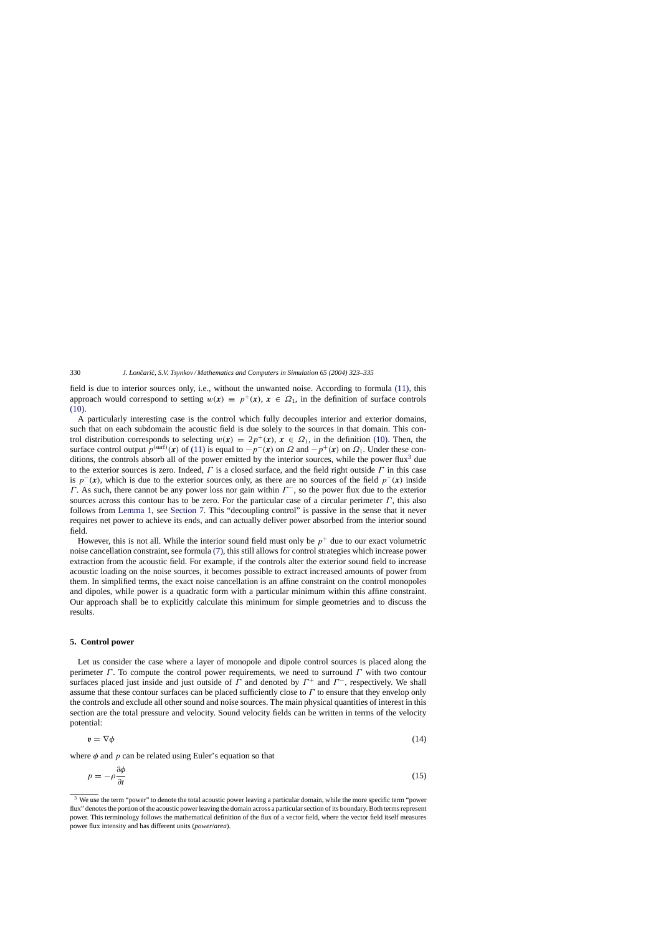<span id="page-7-0"></span>field is due to interior sources only, i.e., without the unwanted noise. According to formula [\(11\),](#page-4-0) this approach would correspond to setting  $w(x) = p^+(x)$ ,  $x \in \Omega_1$ , in the definition of surface controls [\(10\).](#page-4-0)

A particularly interesting case is the control which fully decouples interior and exterior domains, such that on each subdomain the acoustic field is due solely to the sources in that domain. This control distribution corresponds to selecting  $w(x) = 2p^+(x)$ ,  $x \in \Omega_1$ , in the definition [\(10\).](#page-4-0) Then, the surface control output  $p^{(\text{surf})}(x)$  of [\(11\)](#page-4-0) is equal to  $-p^{-}(x)$  on  $\Omega$  and  $-p^{+}(x)$  on  $\Omega_1$ . Under these conditions, the controls absorb all of the power emitted by the interior sources, while the power flux<sup>3</sup> due to the exterior sources is zero. Indeed,  $\Gamma$  is a closed surface, and the field right outside  $\Gamma$  in this case is  $p^{-}(x)$ , which is due to the exterior sources only, as there are no sources of the field  $p^{-}(x)$  inside Γ. As such, there cannot be any power loss nor gain within  $\Gamma^-$ , so the power flux due to the exterior sources across this contour has to be zero. For the particular case of a circular perimeter  $\Gamma$ , this also follows from [Lemma 1,](#page-10-0) see [Section 7.](#page-10-0) This "decoupling control" is passive in the sense that it never requires net power to achieve its ends, and can actually deliver power absorbed from the interior sound field.

However, this is not all. While the interior sound field must only be  $p^+$  due to our exact volumetric noise cancellation constraint, see formula [\(7\),](#page-2-0) this still allows for control strategies which increase power extraction from the acoustic field. For example, if the controls alter the exterior sound field to increase acoustic loading on the noise sources, it becomes possible to extract increased amounts of power from them. In simplified terms, the exact noise cancellation is an affine constraint on the control monopoles and dipoles, while power is a quadratic form with a particular minimum within this affine constraint. Our approach shall be to explicitly calculate this minimum for simple geometries and to discuss the results.

## **5. Control power**

Let us consider the case where a layer of monopole and dipole control sources is placed along the perimeter  $\Gamma$ . To compute the control power requirements, we need to surround  $\Gamma$  with two contour surfaces placed just inside and just outside of  $\Gamma$  and denoted by  $\Gamma^+$  and  $\Gamma^-$ , respectively. We shall assume that these contour surfaces can be placed sufficiently close to Γ to ensure that they envelop only the controls and exclude all other sound and noise sources. The main physical quantities of interest in this section are the total pressure and velocity. Sound velocity fields can be written in terms of the velocity potential:

$$
v = \nabla \phi \tag{14}
$$

where  $\phi$  and p can be related using Euler's equation so that

$$
p = -\rho \frac{\partial \phi}{\partial t} \tag{15}
$$

<sup>&</sup>lt;sup>3</sup> We use the term "power" to denote the total acoustic power leaving a particular domain, while the more specific term "power flux" denotes the portion of the acoustic power leaving the domain across a particular section of its boundary. Both terms represent power. This terminology follows the mathematical definition of the flux of a vector field, where the vector field itself measures power flux intensity and has different units (*power/area*).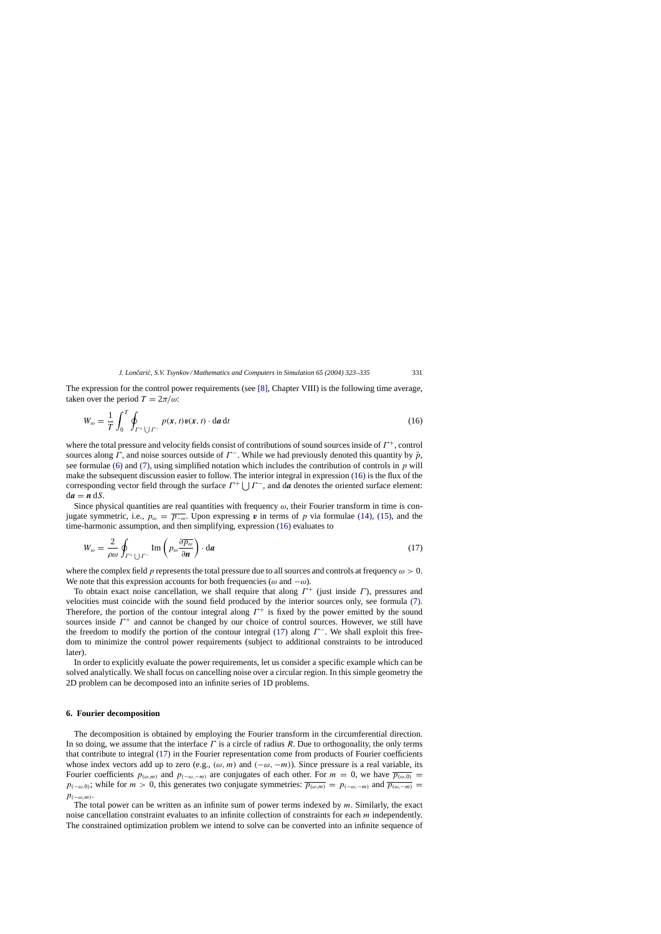<span id="page-8-0"></span>The expression for the control power requirements (see [\[8\],](#page-12-0) Chapter VIII) is the following time average, taken over the period  $T = 2\pi/\omega$ :

$$
W_{\omega} = \frac{1}{T} \int_0^T \oint_{\Gamma^+ \cup \Gamma^-} p(x, t) v(x, t) \cdot \mathrm{d}a \, \mathrm{d}t \tag{16}
$$

where the total pressure and velocity fields consist of contributions of sound sources inside of  $\Gamma^+$ , control sources along Γ, and noise sources outside of  $\Gamma^-$ . While we had previously denoted this quantity by  $\tilde{p}$ , see formulae [\(6\)](#page-2-0) and [\(7\),](#page-2-0) using simplified notation which includes the contribution of controls in  $p$  will make the subsequent discussion easier to follow. The interior integral in expression (16) is the flux of the corresponding vector field through the surface  $\Gamma^+$  |  $\Gamma^-$ , and d*a* denotes the oriented surface element:  $da = n dS$ .

Since physical quantities are real quantities with frequency  $\omega$ , their Fourier transform in time is conjugate symmetric, i.e.,  $p_{\omega} = \overline{p_{-\omega}}$ . Upon expressing *v* in terms of *p* via formulae [\(14\),](#page-7-0) [\(15\),](#page-7-0) and the time-harmonic assumption, and then simplifying, expression (16) evaluates to

$$
W_{\omega} = \frac{2}{\rho \omega} \oint_{\Gamma^+ \cup \Gamma^-} \text{Im} \left( p_{\omega} \frac{\partial \overline{p_{\omega}}}{\partial \mathbf{n}} \right) \cdot d\mathbf{a}
$$
 (17)

where the complex field p represents the total pressure due to all sources and controls at frequency  $\omega > 0$ . We note that this expression accounts for both frequencies ( $\omega$  and  $-\omega$ ).

To obtain exact noise cancellation, we shall require that along  $\Gamma^+$  (just inside  $\Gamma$ ), pressures and velocities must coincide with the sound field produced by the interior sources only, see formula [\(7\).](#page-2-0) Therefore, the portion of the contour integral along  $\Gamma^+$  is fixed by the power emitted by the sound sources inside  $\Gamma^+$  and cannot be changed by our choice of control sources. However, we still have the freedom to modify the portion of the contour integral (17) along  $\Gamma^-$ . We shall exploit this freedom to minimize the control power requirements (subject to additional constraints to be introduced later).

In order to explicitly evaluate the power requirements, let us consider a specific example which can be solved analytically. We shall focus on cancelling noise over a circular region. In this simple geometry the 2D problem can be decomposed into an infinite series of 1D problems.

#### **6. Fourier decomposition**

The decomposition is obtained by employing the Fourier transform in the circumferential direction. In so doing, we assume that the interface  $\Gamma$  is a circle of radius R. Due to orthogonality, the only terms that contribute to integral (17) in the Fourier representation come from products of Fourier coefficients whose index vectors add up to zero (e.g.,  $(\omega, m)$  and  $(-\omega, -m)$ ). Since pressure is a real variable, its Fourier coefficients  $p_{(\omega,m)}$  and  $p_{(-\omega,-m)}$  are conjugates of each other. For  $m = 0$ , we have  $\overline{p_{(\omega,0)}} =$  $p_{(-\omega,0)}$ ; while for  $m > 0$ , this generates two conjugate symmetries:  $\overline{p_{(\omega,m)}} = p_{(-\omega,-m)}$  and  $\overline{p_{(\omega,-m)}} =$  $p_{(-\omega,m)}.$ 

The total power can be written as an infinite sum of power terms indexed by  $m$ . Similarly, the exact noise cancellation constraint evaluates to an infinite collection of constraints for each m independently. The constrained optimization problem we intend to solve can be converted into an infinite sequence of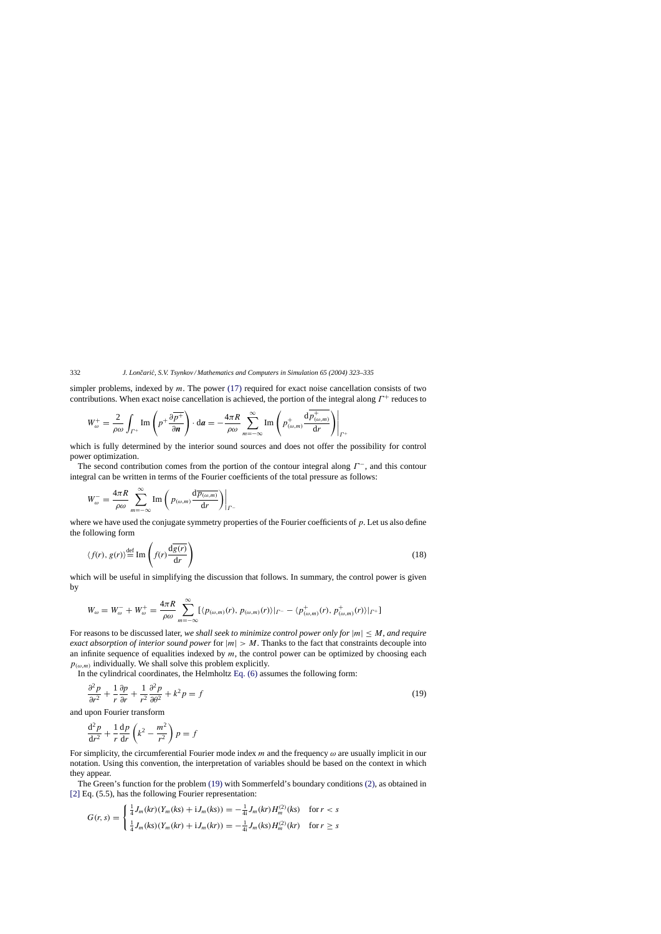simpler problems, indexed by  $m$ . The power [\(17\)](#page-8-0) required for exact noise cancellation consists of two contributions. When exact noise cancellation is achieved, the portion of the integral along  $\Gamma^+$  reduces to

$$
W_{\omega}^{+} = \frac{2}{\rho \omega} \int_{\Gamma^{+}} \text{Im} \left( p^{+} \frac{\partial \overline{p^{+}}}{\partial n} \right) \cdot d\mathbf{a} = -\frac{4\pi R}{\rho \omega} \sum_{m=-\infty}^{\infty} \text{Im} \left( p^{+}_{(\omega,m)} \frac{d \overline{p^{+}_{(\omega,m)}}}{d r} \right) \Big|_{\Gamma^{+}}
$$

which is fully determined by the interior sound sources and does not offer the possibility for control power optimization.

The second contribution comes from the portion of the contour integral along  $\Gamma^-$ , and this contour integral can be written in terms of the Fourier coefficients of the total pressure as follows:

$$
W_{\omega}^{-} = \frac{4\pi R}{\rho \omega} \sum_{m=-\infty}^{\infty} \text{Im}\left(p_{(\omega,m)} \frac{\mathrm{d}\overline{p_{(\omega,m)}}}{\mathrm{d}r}\right)\Big|_{\Gamma^{-}}
$$

where we have used the conjugate symmetry properties of the Fourier coefficients of p. Let us also define the following form

$$
\langle f(r), g(r) \rangle \stackrel{\text{def}}{=} \text{Im} \left( f(r) \frac{d\overline{g(r)}}{dr} \right) \tag{18}
$$

which will be useful in simplifying the discussion that follows. In summary, the control power is given by

$$
W_{\omega}=W_{\omega}^-+W_{\omega}^+=\frac{4\pi R}{\rho\omega}\sum_{m=-\infty}^{\infty}[\langle p_{(\omega,m)}(r), p_{(\omega,m)}(r)\rangle|_{\Gamma^-}-\langle p_{(\omega,m)}^+(r), p_{(\omega,m)}^+(r)\rangle|_{\Gamma^+}]
$$

For reasons to be discussed later, *we shall seek to minimize control power only for* |m| ≤ M, *and require exact absorption of interior sound power* for  $|m| > M$ . Thanks to the fact that constraints decouple into an infinite sequence of equalities indexed by  $m$ , the control power can be optimized by choosing each  $p_{(\omega,m)}$  individually. We shall solve this problem explicitly.

In the cylindrical coordinates, the Helmholtz [Eq. \(6\)](#page-2-0) assumes the following form:

$$
\frac{\partial^2 p}{\partial r^2} + \frac{1}{r} \frac{\partial p}{\partial r} + \frac{1}{r^2} \frac{\partial^2 p}{\partial \theta^2} + k^2 p = f \tag{19}
$$

and upon Fourier transform

$$
\frac{\mathrm{d}^2 p}{\mathrm{d}r^2} + \frac{1}{r} \frac{\mathrm{d}p}{\mathrm{d}r} \left( k^2 - \frac{m^2}{r^2} \right) p = f
$$

For simplicity, the circumferential Fourier mode index m and the frequency  $\omega$  are usually implicit in our notation. Using this convention, the interpretation of variables should be based on the context in which they appear.

The Green's function for the problem (19) with Sommerfeld's boundary conditions [\(2\),](#page-1-0) as obtained in [\[2\]](#page-12-0) Eq. (5.5), has the following Fourier representation:

$$
G(r,s) = \begin{cases} \frac{1}{4}J_m(kr)(Y_m(ks) + iJ_m(ks)) = -\frac{1}{4i}J_m(kr)H_m^{(2)}(ks) & \text{for } r < s\\ \frac{1}{4}J_m(ks)(Y_m(kr) + iJ_m(kr)) = -\frac{1}{4i}J_m(ks)H_m^{(2)}(kr) & \text{for } r \ge s \end{cases}
$$

<span id="page-9-0"></span>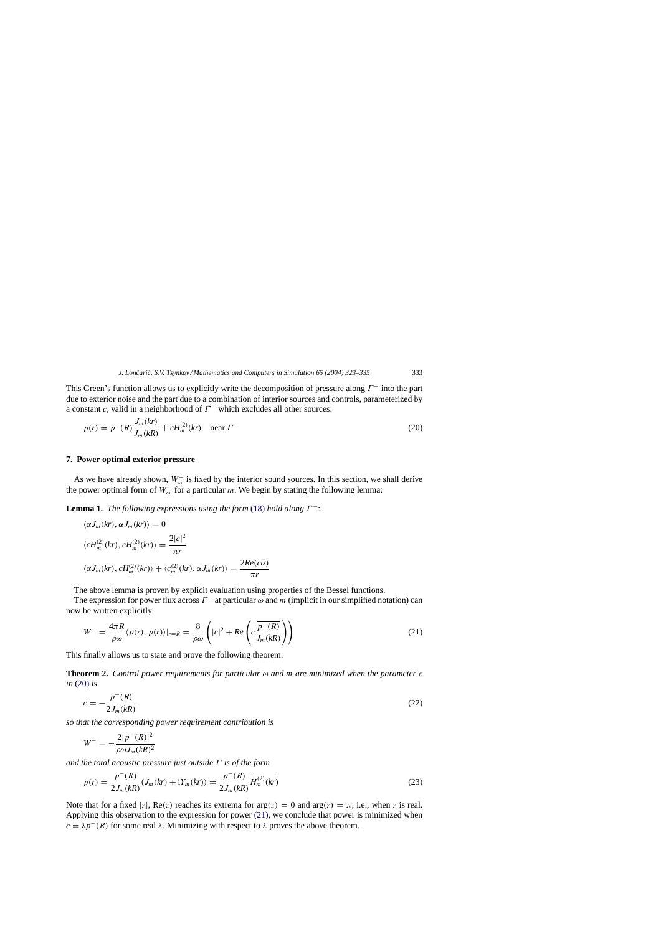<span id="page-10-0"></span>This Green's function allows us to explicitly write the decomposition of pressure along  $\Gamma^-$  into the part due to exterior noise and the part due to a combination of interior sources and controls, parameterized by a constant c, valid in a neighborhood of  $\Gamma^-$  which excludes all other sources:

$$
p(r) = p^{-}(R)\frac{J_m(kr)}{J_m(kR)} + cH_m^{(2)}(kr) \quad \text{near } \Gamma^{-}
$$
\n(20)

#### **7. Power optimal exterior pressure**

As we have already shown,  $W_{\omega}^{+}$  is fixed by the interior sound sources. In this section, we shall derive the power optimal form of  $W_{\omega}^-$  for a particular m. We begin by stating the following lemma:

**Lemma 1.** *The following expressions using the form* [\(18\)](#page-9-0) *hold along*  $\Gamma^-$ :

$$
\langle \alpha J_m(kr), \alpha J_m(kr) \rangle = 0
$$
  

$$
\langle cH_m^{(2)}(kr), cH_m^{(2)}(kr) \rangle = \frac{2|c|^2}{\pi r}
$$
  

$$
\langle \alpha J_m(kr), cH_m^{(2)}(kr) \rangle + \langle c_m^{(2)}(kr), \alpha J_m(kr) \rangle = \frac{2Re(c\bar{\alpha})}{\pi r}
$$

The above lemma is proven by explicit evaluation using properties of the Bessel functions.

The expression for power flux across  $\Gamma^-$  at particular  $\omega$  and m (implicit in our simplified notation) can now be written explicitly

$$
W^{-} = \frac{4\pi R}{\rho \omega} \langle p(r), p(r) \rangle |_{r=R} = \frac{8}{\rho \omega} \left( |c|^2 + Re \left( c \frac{\overline{p^{-}(R)}}{J_m(kR)} \right) \right)
$$
(21)

This finally allows us to state and prove the following theorem:

**Theorem 2.** *Control power requirements for particular* ω *and* m *are minimized when the parameter* c *in* (20) *is*

$$
c = -\frac{p^-(R)}{2J_m(kR)}\tag{22}
$$

*so that the corresponding power requirement contribution is*

$$
W^{-} = -\frac{2|p^{-}(R)|^2}{\rho \omega J_m(kR)^2}
$$

*and the total acoustic pressure just outside* Γ *is of the form*

$$
p(r) = \frac{p^-(R)}{2J_m(kR)}(J_m(kr) + iY_m(kr)) = \frac{p^-(R)}{2J_m(kR)}\overline{H_m^{(2)}(kr)}
$$
(23)

Note that for a fixed |z|,  $\text{Re}(z)$  reaches its extrema for  $\arg(z) = 0$  and  $\arg(z) = \pi$ , i.e., when z is real. Applying this observation to the expression for power (21), we conclude that power is minimized when  $c = \lambda p^{-1}(R)$  for some real  $\lambda$ . Minimizing with respect to  $\lambda$  proves the above theorem.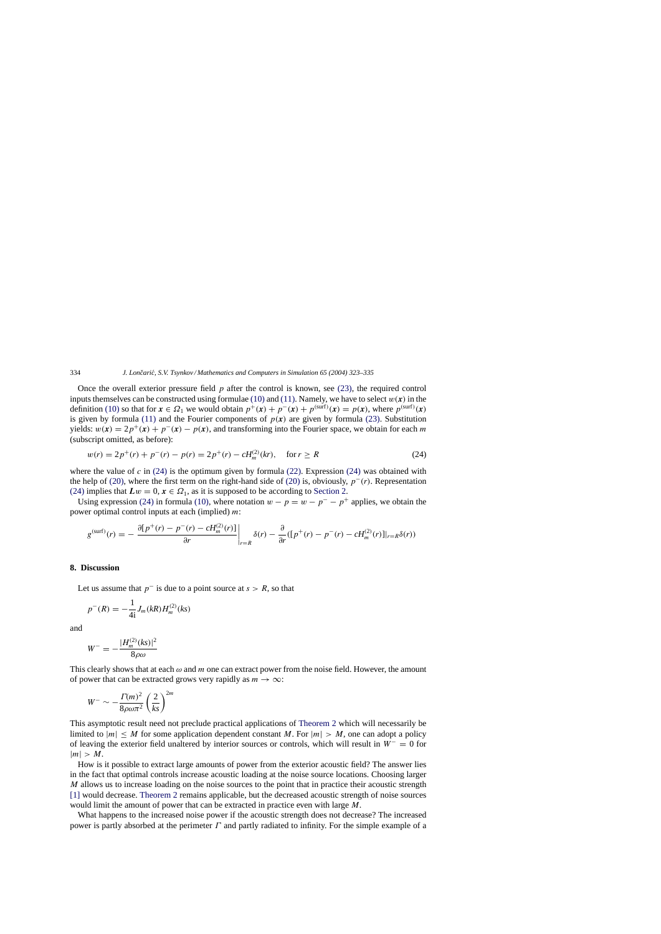Once the overall exterior pressure field  $p$  after the control is known, see [\(23\),](#page-10-0) the required control inputs themselves can be constructed using formulae [\(10\)](#page-4-0) and [\(11\). N](#page-4-0)amely, we have to select  $w(x)$  in the definition [\(10\)](#page-4-0) so that for  $x \in \Omega_1$  we would obtain  $p^+(x) + p^-(x) + p^{(\text{surf})}(x) = p(x)$ , where  $p^{(\text{surf})}(x)$ is given by formula [\(11\)](#page-4-0) and the Fourier components of  $p(x)$  are given by formula [\(23\).](#page-10-0) Substitution yields:  $w(x) = 2p^{+}(x) + p^{-}(x) - p(x)$ , and transforming into the Fourier space, we obtain for each m (subscript omitted, as before):

$$
w(r) = 2p^{+}(r) + p^{-}(r) - p(r) = 2p^{+}(r) - cH_m^{(2)}(kr), \quad \text{for } r \ge R
$$
\n(24)

where the value of c in  $(24)$  is the optimum given by formula  $(22)$ . Expression  $(24)$  was obtained with the help of [\(20\),](#page-10-0) where the first term on the right-hand side of [\(20\)](#page-10-0) is, obviously,  $p^-(r)$ . Representation (24) implies that  $Lw = 0$ ,  $x \in \Omega_1$ , as it is supposed to be according to [Section 2.](#page-3-0)

Using expression (24) in formula [\(10\),](#page-4-0) where notation  $w - p = w - p^- - p^+$  applies, we obtain the power optimal control inputs at each (implied)  $m$ :

$$
g^{(\text{surf})}(r) = -\left. \frac{\partial [p^+(r) - p^-(r) - cH_m^{(2)}(r)]}{\partial r} \right|_{r=R} \delta(r) - \left. \frac{\partial}{\partial r} ([p^+(r) - p^-(r) - cH_m^{(2)}(r)]|_{r=R} \delta(r)) \right)
$$

# **8. Discussion**

Let us assume that  $p^-$  is due to a point source at  $s > R$ , so that

$$
p^{-}(R) = -\frac{1}{4i}J_{m}(kR)H_{m}^{(2)}(ks)
$$

and

$$
W^{-}=-\frac{|H_{m}^{(2)}(ks)|^{2}}{8\rho\omega}
$$

This clearly shows that at each  $\omega$  and m one can extract power from the noise field. However, the amount of power that can be extracted grows very rapidly as  $m \to \infty$ :

$$
W^{-} \sim -\frac{\Gamma(m)^2}{8\rho\omega\pi^2} \left(\frac{2}{ks}\right)^{2m}
$$

This asymptotic result need not preclude practical applications of [Theorem 2](#page-10-0) which will necessarily be limited to  $|m| \leq M$  for some application dependent constant M. For  $|m| > M$ , one can adopt a policy of leaving the exterior field unaltered by interior sources or controls, which will result in  $W^- = 0$  for  $|m| > M$ .

How is it possible to extract large amounts of power from the exterior acoustic field? The answer lies in the fact that optimal controls increase acoustic loading at the noise source locations. Choosing larger M allows us to increase loading on the noise sources to the point that in practice their acoustic strength [\[1\]](#page-12-0) would decrease. [Theorem 2](#page-10-0) remains applicable, but the decreased acoustic strength of noise sources would limit the amount of power that can be extracted in practice even with large M.

What happens to the increased noise power if the acoustic strength does not decrease? The increased power is partly absorbed at the perimeter  $\Gamma$  and partly radiated to infinity. For the simple example of a